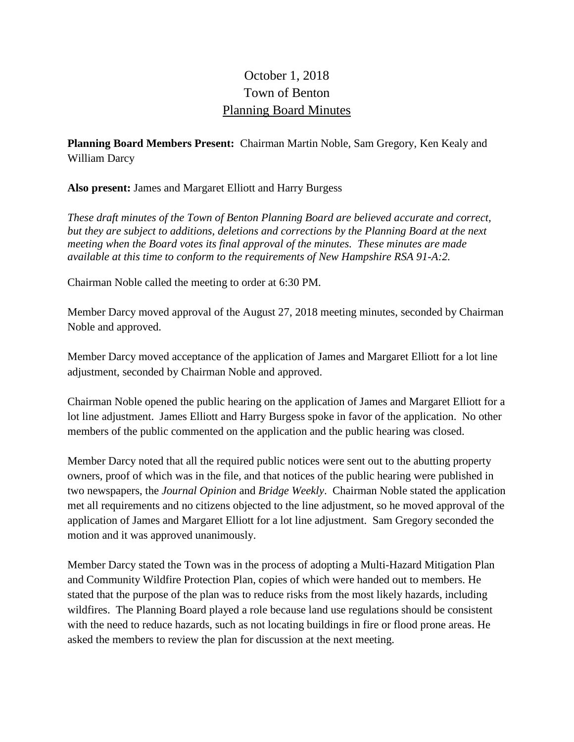## October 1, 2018 Town of Benton Planning Board Minutes

**Planning Board Members Present:** Chairman Martin Noble, Sam Gregory, Ken Kealy and William Darcy

**Also present:** James and Margaret Elliott and Harry Burgess

*These draft minutes of the Town of Benton Planning Board are believed accurate and correct, but they are subject to additions, deletions and corrections by the Planning Board at the next meeting when the Board votes its final approval of the minutes. These minutes are made available at this time to conform to the requirements of New Hampshire RSA 91-A:2.*

Chairman Noble called the meeting to order at 6:30 PM.

Member Darcy moved approval of the August 27, 2018 meeting minutes, seconded by Chairman Noble and approved.

Member Darcy moved acceptance of the application of James and Margaret Elliott for a lot line adjustment, seconded by Chairman Noble and approved.

Chairman Noble opened the public hearing on the application of James and Margaret Elliott for a lot line adjustment. James Elliott and Harry Burgess spoke in favor of the application. No other members of the public commented on the application and the public hearing was closed.

Member Darcy noted that all the required public notices were sent out to the abutting property owners, proof of which was in the file, and that notices of the public hearing were published in two newspapers, the *Journal Opinion* and *Bridge Weekly*. Chairman Noble stated the application met all requirements and no citizens objected to the line adjustment, so he moved approval of the application of James and Margaret Elliott for a lot line adjustment. Sam Gregory seconded the motion and it was approved unanimously.

Member Darcy stated the Town was in the process of adopting a Multi-Hazard Mitigation Plan and Community Wildfire Protection Plan, copies of which were handed out to members. He stated that the purpose of the plan was to reduce risks from the most likely hazards, including wildfires. The Planning Board played a role because land use regulations should be consistent with the need to reduce hazards, such as not locating buildings in fire or flood prone areas. He asked the members to review the plan for discussion at the next meeting.